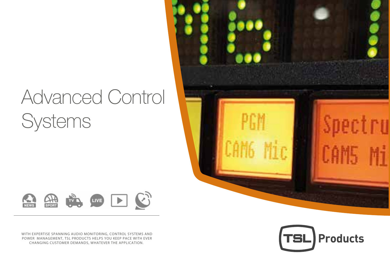# Advanced Control Systems





WITH EXPERTISE SPANNING AUDIO MONITORING, CONTROL SYSTEMS AND POWER MANAGEMENT, TSL PRODUCTS HELPS YOU KEEP PACE WITH EVER CHANGING CUSTOMER DEMANDS, WHATEVER THE APPLICATION.

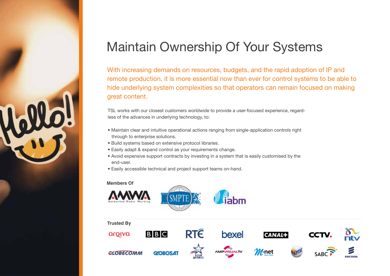

## Maintain Ownership Of Your Systems

With increasing demands on resources, budgets, and the rapid adoption of IP and remote production, it is more essential now than ever for control systems to be able to hide underlying system complexities so that operators can remain focused on making great content.

TSL works with our closest customers worldwide to provide a user-focused experience, regardless of the advances in underlying technology, to:

- Maintain clear and intuitive operational actions ranging from single-application controls right through to enterprise solutions.
- Build systems based on extensive protocol libraries.
- Easily adapt & expand control as your requirements change.
- Avoid expensive support contracts by investing in a system that is easily customised by the end-user.
- Easily accessible technical and project support teams on-hand.

### **Members Of**

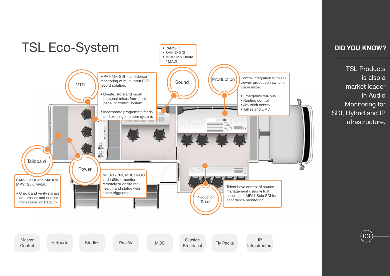

TSL Products is also a market leader in Audio Monitoring for SDI, Hybrid and IP infrastructure.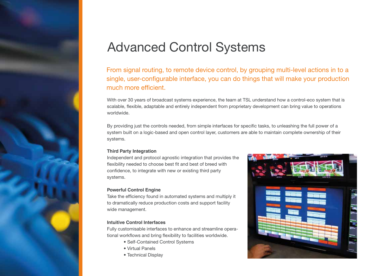## Advanced Control Systems

From signal routing, to remote device control, by grouping multi-level actions in to a single, user-configurable interface, you can do things that will make your production much more efficient.

With over 30 years of broadcast systems experience, the team at TSL understand how a control-eco system that is scalable, flexible, adaptable and entirely independent from proprietary development can bring value to operations worldwide.

By providing just the controls needed, from simple interfaces for specific tasks, to unleashing the full power of a system built on a logic-based and open control layer, customers are able to maintain complete ownership of their systems.

#### **Third Party Integration**

Independent and protocol agnostic integration that provides the flexibility needed to choose best fit and best of breed with confidence, to integrate with new or existing third party systems.

#### **Powerful Control Engine**

Take the efficiency found in automated systems and multiply it to dramatically reduce production costs and support facility wide management.

### **Intuitive Control Interfaces**

Fully customisable interfaces to enhance and streamline operational workflows and bring flexibility to facilities worldwide.

- Self-Contained Control Systems
- Virtual Panels
- Technical Display

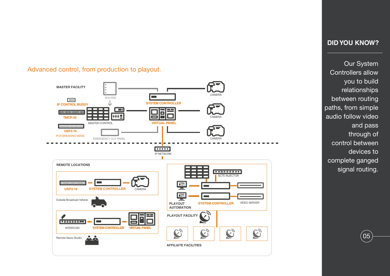### Advanced control, from production to playout.



### **DID YOU KNOW?**

Our System Controllers allow you to build relationships between routing paths, from simple audio follow video and pass through of control between devices to complete ganged signal routing.

 $\big(05\big)$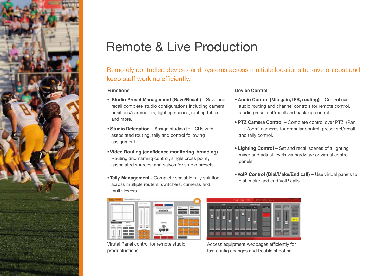

## Remote & Live Production

Remotely controlled devices and systems across multiple locations to save on cost and keep staff working efficiently.

#### **Functions**

- **Studio Preset Management (Save/Recall)** Save and recall complete studio configurations including camera ` positions/parameters, lighting scenes, routing tables and more.
- **Studio Delegation** Assign studios to PCRs with associated routing, tally and control following assignment.
- **Video Routing (confidence monitoring, branding)**  Routing and naming control, single cross point, associated sources, and salvos for studio presets.
- **Tally Management -** Complete scalable tally solution across multiple routers, switchers, cameras and multiviewers.



Virutal Panel control for remote studio productuctions.

#### **Device Control**

- **Audio Control (Mic gain, IFB, routing)** Control over audio routing and channel controls for remote control, studio preset set/recall and back-up control.
- **PTZ Camera Control** Complete control over PTZ (Pan Tilt Zoom) cameras for granular control, preset set/recall and tally control.
- **Lighting Control** Set and recall scenes of a lighting mixer and adjust levels via hardware or virtual control panels.
- **VoIP Control (Dial/Make/End call) –** Use virtual panels to dial, make and end VoIP calls.



Access equipment webpages efficiently for fast config changes and trouble shooting.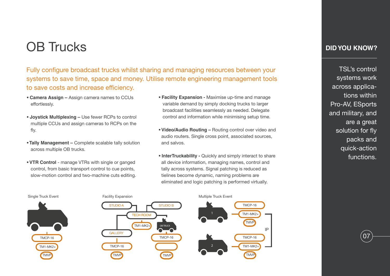## OB Trucks

Fully configure broadcast trucks whilst sharing and managing resources between your systems to save time, space and money. Utilise remote engineering management tools to save costs and increase efficiency.

- **Camera Assign** Assign camera names to CCUs effortlessly.
- **Joystick Multiplexing** Use fewer RCPs to control multiple CCUs and assign cameras to RCPs on the fly.
- **Tally Management** Complete scalable tally solution across multiple OB trucks.
- **VTR Control** manage VTRs with single or ganged control, from basic transport control to cue points, slow-motion control and two-machine cuts editing.
- **Facility Expansion** Maximise up-time and manage variable demand by simply docking trucks to larger broadcast facilities seamlessly as needed. Delegate control and information while minimising setup time.
- **Video/Audio Routing** Routing control over video and audio routers. Single cross point, associated sources, and salvos.
- **InterTruckability** Quickly and simply interact to share all device information, managing names, control and tally across systems. Signal patching is reduced as tielines become dynamic, naming problems are eliminated and logic patching is performed virtually.



TSL's control systems work across applications within Pro-AV, ESports and military, and are a great solution for fly packs and quick-action functions.

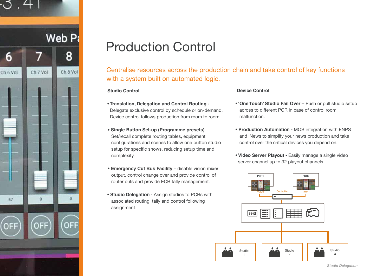

## Production Control

Centralise resources across the production chain and take control of key functions with a system built on automated logic.

### **Studio Control**

- **Translation, Delegation and Control Routing**  Delegate exclusive control by schedule or on-demand. Device control follows production from room to room.
- • **Single Button Set-up (Programme presets)**  Set/recall complete routing tables, equipment configurations and scenes to allow one button studio setup for specific shows, reducing setup time and complexity.
- **Emergency Cut Bus Facility** disable vision mixer output, control change over and provide control of router cuts and provide ECB tally management.
- **Studio Delegation** Assign studios to PCRs with associated routing, tally and control following assignment.

#### **Device Control**

- **'One Touch' Studio Fail Over** Push or pull studio setup across to different PCR in case of control room malfunction.
- **Production Automation** MOS integration with ENPS and iNews to simplify your news production and take control over the critical devices you depend on.
- **Video Server Playout** Easily manage a single video server channel up to 32 playout channels.

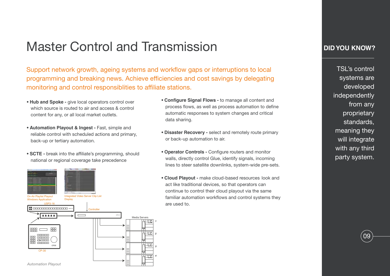### Master Control and Transmission

Support network growth, ageing systems and workflow gaps or interruptions to local programming and breaking news. Achieve efficiencies and cost savings by delegating monitoring and control responsibilities to affiliate stations.

- **Hub and Spoke -** give local operators control over which source is routed to air and access & control content for any, or all local market outlets.
- **Automation Playout & Ingest Fast, simple and**  reliable control with scheduled actions and primary, back-up or tertiary automation.
- **SCTE** break into the affiliate's programming, should national or regional coverage take precedence



- **Configure Signal Flows** to manage all content and process flows, as well as process automation to define automatic responses to system changes and critical data sharing.
- **Disaster Recovery** select and remotely route primary or back-up automation to air.
- Operator Controls Configure routers and monitor walls, directly control Glue, identify signals, incoming lines to steer satellite downlinks, system-wide pre-sets.
- **Cloud Playout** make cloud-based resources look and act like traditional devices, so that operators can continue to control their cloud playout via the same familiar automation workflows and control systems they are used to.

### **DID YOU KNOW?**

TSL's control systems are developed independently from any proprietary standards, meaning they will integrate with any third party system.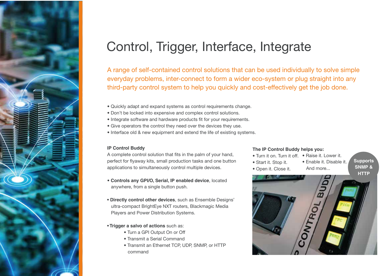

## Control, Trigger, Interface, Integrate

A range of self-contained control solutions that can be used individually to solve simple everyday problems, inter-connect to form a wider eco-system or plug straight into any third-party control system to help you quickly and cost-effectively get the job done.

- Quickly adapt and expand systems as control requirements change.
- Don't be locked into expensive and complex control solutions.
- Integrate software and hardware products fit for your requirements.
- Give operators the control they need over the devices they use.
- Interface old & new equipment and extend the life of existing systems.

#### **IP Control Buddy**

A complete control solution that fits in the palm of your hand, perfect for flyaway kits, small production tasks and one button applications to simultaneously control multiple devices.

- **Controls any GPI/O, Serial, IP enabled device**, located anywhere, from a single button push.
- **Directly control other devices**, such as Ensemble Designs' ultra-compact BrightEye NXT routers, Blackmagic Media Players and Power Distribution Systems.
- **Trigger a salvo of actions** such as:
	- Turn a GPI Output On or Off
	- Transmit a Serial Command
	- Transmit an Ethernet TCP, UDP, SNMP, or HTTP command

### **The IP Control Buddy helps you:**

- Turn it on. Turn it off. Raise it. Lower it.
- Start it. Stop it.
- Open it. Close it.
- And more...

• Enable it. Disable it.

**Supports SNMP & HTTP**

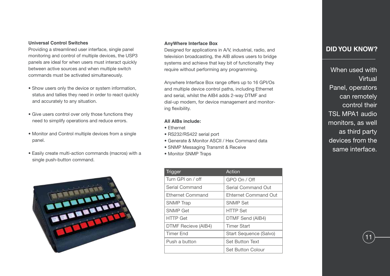#### **Universal Control Switches**

Providing a streamlined user interface, single panel monitoring and control of multiple devices, the USP3 panels are ideal for when users must interact quickly between active sources and when multiple switch commands must be activated simultaneously.

- Show users only the device or system information, status and tallies they need in order to react quickly and accurately to any situation.
- Give users control over only those functions they need to simplify operations and reduce errors.
- Monitor and Control multiple devices from a single panel.
- Easily create multi-action commands (macros) with a single push-button command.



#### **AnyWhere Interface Box**

Designed for applications in A/V, industrial, radio, and television broadcasting, the AIB allows users to bridge systems and achieve that key bit of functionality they require without performing any programming.

Anywhere Interface Box range offers up to 16 GPI/Os and multiple device control paths, including Ethernet and serial, whilst the AIB4 adds 2-way DTMF and dial-up modem, for device management and monitoring flexibility.

#### **All AIBs include:**

- Ethernet
- RS232/RS422 serial port
- Generate & Monitor ASCII / Hex Command data
- SNMP Messaging Transmit & Receive
- Monitor SNMP Traps

| <b>Trigger</b>             | Action                      |
|----------------------------|-----------------------------|
| Turn GPI on / off          | GPO On / Off                |
| Serial Command             | Serial Command Out          |
| Ethernet Command           | <b>Ehternet Command Out</b> |
| <b>SNMP</b> Trap           | <b>SNMP Set</b>             |
| <b>SNMP Get</b>            | <b>HTTP Set</b>             |
| <b>HTTP Get</b>            | DTMF Send (AIB4)            |
| <b>DTMF Recieve (AIB4)</b> | <b>Timer Start</b>          |
| Timer Fnd                  | Start Sequence (Salvo)      |
| Push a button              | <b>Set Button Text</b>      |
|                            | Set Button Colour           |

### **DID YOU KNOW?**

When used with Virtual Panel, operators can remotely control their TSL MPA1 audio monitors, as well as third party devices from the same interface.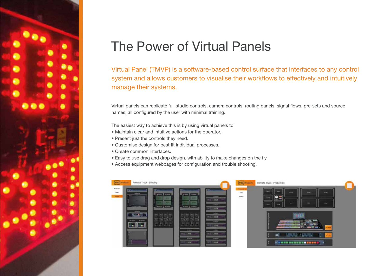

## The Power of Virtual Panels

Virtual Panel (TMVP) is a software-based control surface that interfaces to any control system and allows customers to visualise their workflows to effectively and intuitively manage their systems.

Virtual panels can replicate full studio controls, camera controls, routing panels, signal flows, pre-sets and source names, all configured by the user with minimal training.

The easiest way to achieve this is by using virtual panels to:

- Maintain clear and intuitive actions for the operator.
- Present just the controls they need.
- Customise design for best fit individual processes.
- Create common interfaces.
- Easy to use drag and drop design, with ability to make changes on the fly.
- Access equipment webpages for configuration and trouble shooting.

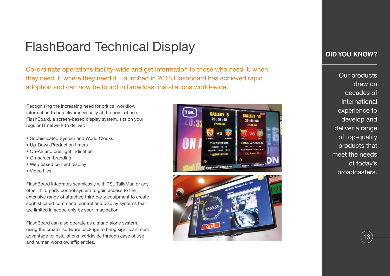## FlashBoard Technical Display

Co-ordinate operations facility-wide and get information to those who need it, when they need it, where they need it. Launched in 2018 Flashboard has achieved rapid adoption and can now be found in broadcast installations world-wide.

Recognising the increasing need for critical workflow information to be delivered visually at the point of use FlashBoard, a screen-based display system, sits on your regular IT network to deliver:

- Sophisticated System and World Clocks
- Up-Down Production timers
- On-Air and cue light indication
- On-screen branding
- Web based content display
- Video tiles

FlashBoard integrates seamlessly with TSL TallyMan or any other third party control system to gain access to the extensive range of attached third party equipment to create sophisticated command, control and display systems that are limited in scope only by your imagination.

FlashBoard can also operate as a stand alone system, using the creator software package to bring significant cost advantage to installations worldwide through ease of use and human workflow efficiencies.





### **DID YOU KNOW?**

Our products draw on decades of international experience to develop and deliver a range of top-quality products that meet the needs of today's broadcasters.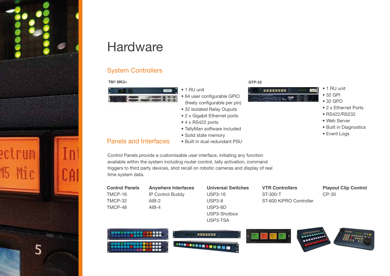

## **Hardware**

### System Controllers

### **TM1 MK2+ GTP-32**



- 1 RU unit
- 64 user configurable GPIO (freely configurable per pin)
- 32 Isolated Relay Ouputs
- 2 x Gigabit Ethernet ports
- 4 x RS422 ports
- TallyMan software included
- Solid state memory

### Panels and Interfaces

**THE** 

<u> 195360 - 1957 - 1958 - 1958 - 1958 - 1958 - 1958 - 1958 - 1958 - 1958 - 1958 - 1958 - 1958 - 1958 - 1958 - 1</u>

- 
- Built in dual redundant PSU
- Control Panels provide a customisable user interface, initiating any function available within the system including router control, tally activation, command triggers to third party devices, shot recall on robotic cameras and display of real time system data.

| <b>Control Panels</b> | <b>Anywhere Interfaces</b> | <b>Universal Switches</b> | <b>VTR Controllers</b>  | <b>Playout Clip Control</b> |
|-----------------------|----------------------------|---------------------------|-------------------------|-----------------------------|
| TMCP-16               | IP Control Buddy           | <b>USP3-16</b>            | ST-300-T                | $CP-30$                     |
| TMCP-32               | $AIB-2$                    | <b>USP3-8</b>             | ST-600 KiPRO Controller |                             |
| TMCP-48               | $AIB-4$                    | USP3-8D                   |                         |                             |
|                       |                            | USP3-Shotbox              |                         |                             |
|                       |                            | USP3-TSA                  |                         |                             |
|                       |                            | 医直面周围直面                   |                         |                             |



**HENNEYER** 

• 1 RU unit • 32 GPI • 32 GPO

• 2 x Ethernet Ports • RS422/RS232 • Web Server

• Built in Diagnostics

• Event Logs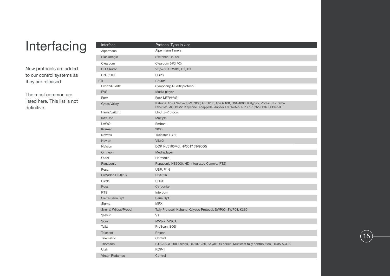## Interfacing

New protocols are added to our control systems as they are released.

The most common are listed here. This list is not definitive.

| Interface             | Protocol Type In Use                                                                                                                                                    |
|-----------------------|-------------------------------------------------------------------------------------------------------------------------------------------------------------------------|
| Alpermann             | <b>Alpermann Timers</b>                                                                                                                                                 |
| <b>Blackmagic</b>     | Switcher, Router                                                                                                                                                        |
| Clearcom              | Clearcom (HCI V2)                                                                                                                                                       |
| <b>DHD</b> Audio      | V5,52/XR, 52/XS, XC, XD                                                                                                                                                 |
| DNF / TSL             | USP3                                                                                                                                                                    |
| ETL                   | Router                                                                                                                                                                  |
| Evertz/Quartz         | Symphony, Quartz protocol                                                                                                                                               |
| <b>EVS</b>            | Media player                                                                                                                                                            |
| ForA                  | ForA MFR/HVS                                                                                                                                                            |
| <b>Grass Valley</b>   | Kahuna, GVG Native (SMS7000) GVG200, GVG2100, GVG4000, Kalypso, Zodiac, K-Frame<br>Ethernet, ACOS V2, Kayenne, Acappella, Jupiter ES Switch, NP0017 (NV9000), CRSerial. |
| Harris/Leitch         | LRC, Z-Protocol                                                                                                                                                         |
| InfraRed              | Multiple                                                                                                                                                                |
| LAWO                  | Ember+                                                                                                                                                                  |
| Kramer                | 2000                                                                                                                                                                    |
| <b>Newtek</b>         | <b>Tricaster TC-1</b>                                                                                                                                                   |
| Nevion                | <b>VikinX</b>                                                                                                                                                           |
| <b>NVision</b>        | DCP, NV5100MC, NP0017 (NV9000)                                                                                                                                          |
| Omneon                | Mediaplayer                                                                                                                                                             |
| Oxtel                 | Harmonic                                                                                                                                                                |
| Panasonic             | Panasonic HS6000, HD-Integrated Camera (PTZ)                                                                                                                            |
| Pesa                  | USP, P1N                                                                                                                                                                |
| ProVideo RS1616       | <b>RS1616</b>                                                                                                                                                           |
| Riedel                | <b>RRCS</b>                                                                                                                                                             |
| Ross                  | Carbonite                                                                                                                                                               |
| <b>RTS</b>            | Intercom                                                                                                                                                                |
| Sierra Serial Xpt     | Serial Xpt                                                                                                                                                              |
| Sigma                 | <b>MRX</b>                                                                                                                                                              |
| Snell & Wilcox/Probel | Tally Protocol, Kahuna-Kalypso Protocol, SWP02, SWP08, K360                                                                                                             |
| <b>SNMP</b>           | V1                                                                                                                                                                      |
| Sony                  | MVS-X, VISCA                                                                                                                                                            |
| Talia                 | ProScan, EOS                                                                                                                                                            |
| <b>Telecast</b>       | Prosan                                                                                                                                                                  |
| Telemetric            | Control                                                                                                                                                                 |
| Thomson               | BTS ASCII 9000 series, DD1020/30, Kayak DD series, Multicast tally contribution, DD35 ACOS                                                                              |
| Utah                  | RCP-1                                                                                                                                                                   |
| Vinten Redamec        | Control                                                                                                                                                                 |
|                       |                                                                                                                                                                         |

 $(15)$